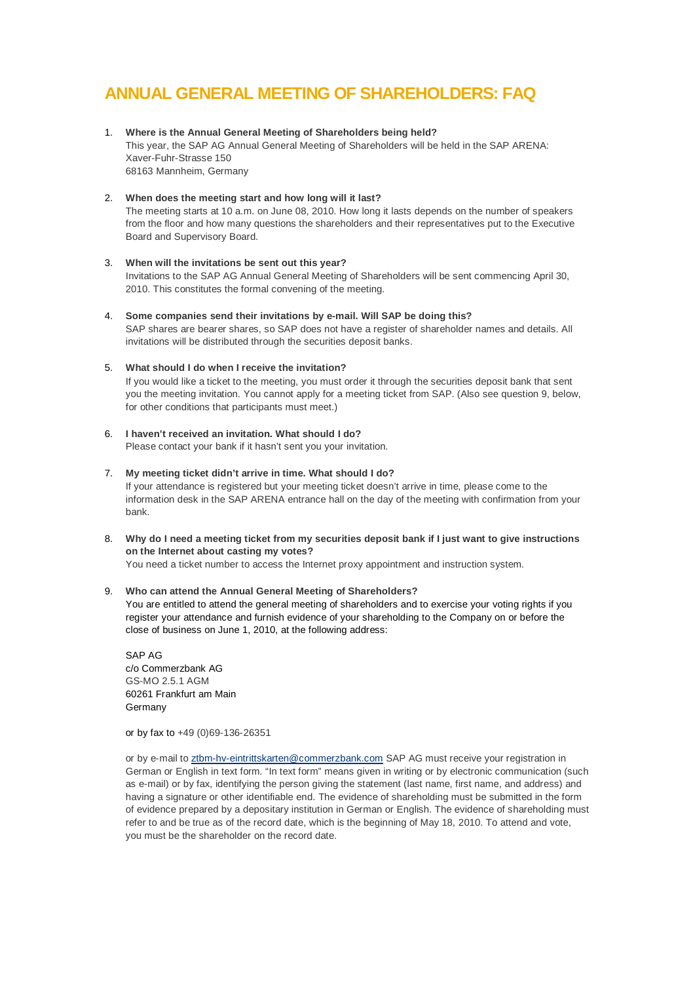# **ANNUAL GENERAL MEETING OF SHAREHOLDERS: FAQ**

1. **Where is the Annual General Meeting of Shareholders being held?** This year, the SAP AG Annual General Meeting of Shareholders will be held in the SAP ARENA: Xaver-Fuhr-Strasse 150 68163 Mannheim, Germany

# 2. **When does the meeting start and how long will it last?**

The meeting starts at 10 a.m. on June 08, 2010. How long it lasts depends on the number of speakers from the floor and how many questions the shareholders and their representatives put to the Executive Board and Supervisory Board.

## 3. **When will the invitations be sent out this year?** Invitations to the SAP AG Annual General Meeting of Shareholders will be sent commencing April 30, 2010. This constitutes the formal convening of the meeting.

- 4. **Some companies send their invitations by e-mail. Will SAP be doing this?** SAP shares are bearer shares, so SAP does not have a register of shareholder names and details. All invitations will be distributed through the securities deposit banks.
- 5. **What should I do when I receive the invitation?** If you would like a ticket to the meeting, you must order it through the securities deposit bank that sent you the meeting invitation. You cannot apply for a meeting ticket from SAP. (Also see question 9, below, for other conditions that participants must meet.)
- 6. **I haven't received an invitation. What should I do?** Please contact your bank if it hasn't sent you your invitation.
- 7. **My meeting ticket didn't arrive in time. What should I do?** If your attendance is registered but your meeting ticket doesn't arrive in time, please come to the information desk in the SAP ARENA entrance hall on the day of the meeting with confirmation from your bank.
- 8. **Why do I need a meeting ticket from my securities deposit bank if I just want to give instructions on the Internet about casting my votes?**

You need a ticket number to access the Internet proxy appointment and instruction system.

# 9. **Who can attend the Annual General Meeting of Shareholders?**

You are entitled to attend the general meeting of shareholders and to exercise your voting rights if you register your attendance and furnish evidence of your shareholding to the Company on or before the close of business on June 1, 2010, at the following address:

SAP AG c/o Commerzbank AG GS-MO 2.5.1 AGM 60261 Frankfurt am Main **Germany** 

or by fax to +49 (0)69-136-26351

or by e-mail to [ztbm-hv-eintrittskarten@commerzbank.com](mailto:ztbm-hv-eintrittskarten@commerzbank.com) SAP AG must receive your registration in German or English in text form. "In text form" means given in writing or by electronic communication (such as e-mail) or by fax, identifying the person giving the statement (last name, first name, and address) and having a signature or other identifiable end. The evidence of shareholding must be submitted in the form of evidence prepared by a depositary institution in German or English. The evidence of shareholding must refer to and be true as of the record date, which is the beginning of May 18, 2010. To attend and vote, you must be the shareholder on the record date.